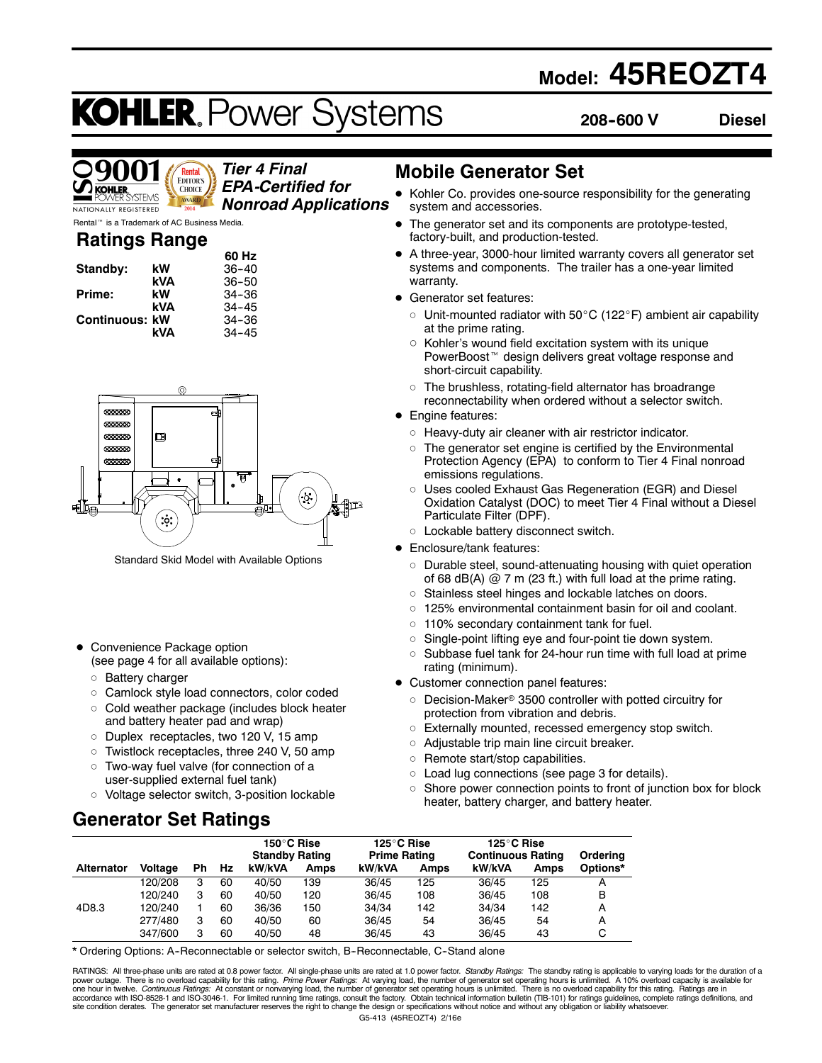# **Model: 45REOZT4**

# **KOHLER. Power Systems**

**208--600 V Diesel**

Rental **EDITOR'S CHOICE STEMS** AWARD NATIONALLY REGISTERED

*Tier 4 Final EPA-Certified for Nonroad Applications*

Rental<sup>™</sup> is a Trademark of AC Business Media.

# **Ratings Range**

|                       |     | 60 Hz     |
|-----------------------|-----|-----------|
| Standby:              | kW  | $36 - 40$ |
|                       | kVA | $36 - 50$ |
| Prime:                | kW  | $34 - 36$ |
|                       | kVA | $34 - 45$ |
| <b>Continuous: kW</b> |     | 34-36     |
|                       | kVA | $34 - 45$ |



Standard Skid Model with Available Options

- Convenience Package option (see page 4 for all available options):
	- o Battery charger
	- o Camlock style load connectors, color coded
	- $\circ$  Cold weather package (includes block heater and battery heater pad and wrap)
	- o Duplex receptacles, two 120 V, 15 amp
	- $\circ$  Twistlock receptacles, three 240 V, 50 amp
	- o Two-way fuel valve (for connection of a user-supplied external fuel tank)
	- o Voltage selector switch, 3-position lockable

# **Generator Set Ratings**

### **Mobile Generator Set**

- Kohler Co. provides one-source responsibility for the generating system and accessories.
- The generator set and its components are prototype-tested, factory-built, and production-tested.
- A three-year, 3000-hour limited warranty covers all generator set systems and components. The trailer has a one-year limited warranty.
- Generator set features:
	- $\circ$  Unit-mounted radiator with 50 $\rm{^{\circ}C}$  (122 $\rm{^{\circ}F}$ ) ambient air capability at the prime rating.
	- $\circ$  Kohler's wound field excitation system with its unique PowerBoost<sup>™</sup> design delivers great voltage response and short-circuit capability.
	- $\circ$  The brushless, rotating-field alternator has broadrange reconnectability when ordered without a selector switch.
- Engine features:
	- $\circ$  Heavy-duty air cleaner with air restrictor indicator.
	- $\circ$  The generator set engine is certified by the Environmental Protection Agency (EPA) to conform to Tier 4 Final nonroad emissions regulations.
	- o Uses cooled Exhaust Gas Regeneration (EGR) and Diesel Oxidation Catalyst (DOC) to meet Tier 4 Final without a Diesel Particulate Filter (DPF).
- o Lockable battery disconnect switch.
- Enclosure/tank features:
	- $\circ$  Durable steel, sound-attenuating housing with quiet operation of 68 dB(A)  $@$  7 m (23 ft.) with full load at the prime rating.
	- o Stainless steel hinges and lockable latches on doors.
	- $\circ$  125% environmental containment basin for oil and coolant.
	- $\circ$  110% secondary containment tank for fuel.
	- o Single-point lifting eye and four-point tie down system.
	- $\circ$  Subbase fuel tank for 24-hour run time with full load at prime rating (minimum).
- Customer connection panel features:
	- $\circ$  Decision-Maker® 3500 controller with potted circuitry for protection from vibration and debris.
	- o Externally mounted, recessed emergency stop switch.
	- $\circ$  Adjustable trip main line circuit breaker.
	- $\circ$  Remote start/stop capabilities.
	- $\circ$  Load lug connections (see page 3 for details).
	- $\circ$  Shore power connection points to front of junction box for block heater, battery charger, and battery heater.

|                   |                |    |    | 150°C Rise<br><b>Standby Rating</b> |             | 125°C Rise<br><b>Prime Rating</b> |      | 125°C Rise<br><b>Continuous Rating</b> |      | Orderina |
|-------------------|----------------|----|----|-------------------------------------|-------------|-----------------------------------|------|----------------------------------------|------|----------|
| <b>Alternator</b> | <b>Voltage</b> | Ph | Hz | kW/kVA                              | <b>Amps</b> | kW/kVA                            | Amps | kW/kVA                                 | Amps | Options* |
|                   | 120/208        | з  | 60 | 40/50                               | 139         | 36/45                             | 125  | 36/45                                  | 125  |          |
|                   | 120/240        | 3  | 60 | 40/50                               | 120         | 36/45                             | 108  | 36/45                                  | 108  | в        |
| 4D8.3             | 120/240        |    | 60 | 36/36                               | 150         | 34/34                             | 142  | 34/34                                  | 142  | А        |
|                   | 277/480        | з  | 60 | 40/50                               | 60          | 36/45                             | 54   | 36/45                                  | 54   | А        |
|                   | 347/600        |    | 60 | 40/50                               | 48          | 36/45                             | 43   | 36/45                                  | 43   | C        |

\* Ordering Options: A--Reconnectable or selector switch, B--Reconnectable, C--Stand alone

G5-413 (45REOZT4) 2/16e RATINGS: All three-phase units are rated at 0.8 power factor. All single-phase units are rated at 1.0 power factor. Standby Ratings: The standby rating is applicable to varying loads for the duration of a power outage. There is no overload capability for this rating. *Prime Power Ratings:* At varying load, the number of generator set operating hours is unlimited. A 10% overload capacity is available for<br>one hour in twelve.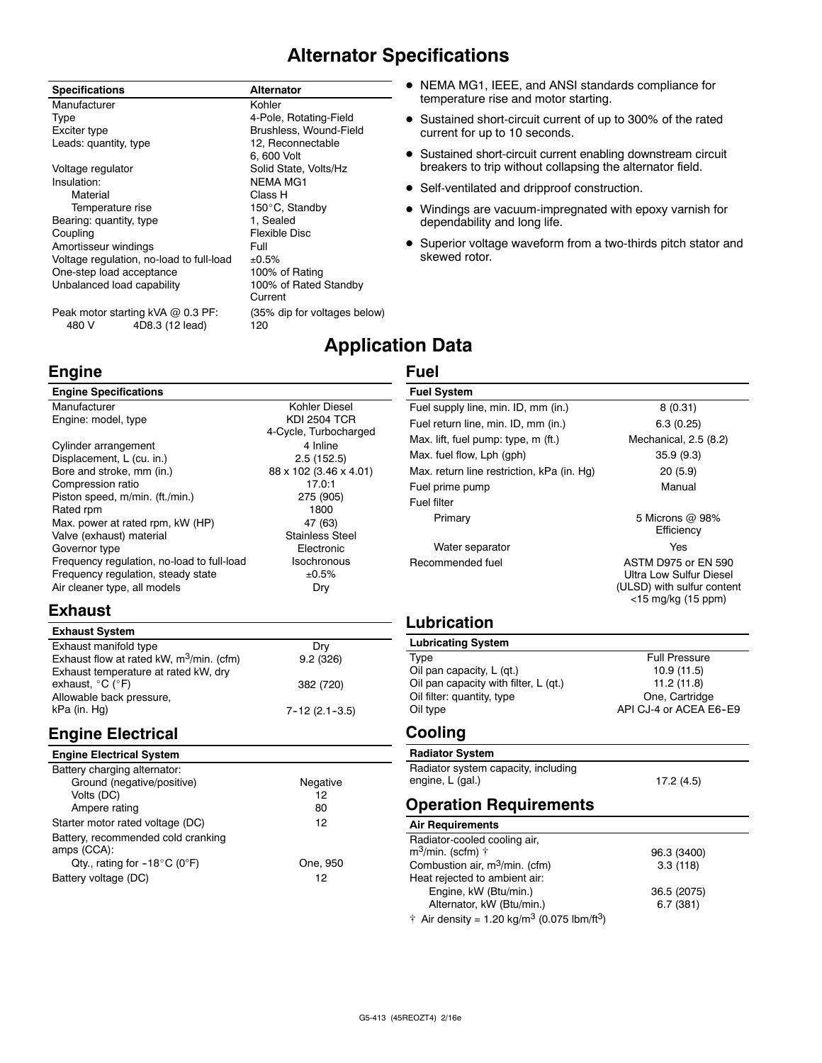# **Alternator Specifications**

**Application Data**

**Fuel**

### **Specifications Alternator**

Manufacturer **Kohler** Type 4-Pole, Rotating-Field Exciter type **Brushless, Wound-Field**<br>
Leads: quantity. type **Brushless** 12. Reconnectable Leads: quantity, type Voltage regulator **Solid State, Volts/Hz** Insulation: NEMA MG1 Material **Material** Class H Temperature rise 150°C, Standby<br>
ring: quantity. type 1. Sealed Bearing: quantity, type Coupling **Flexible Disc** Amortisseur windings<br>Voltage regulation, no-load to full-load ±0.5% Voltage regulation, no-load to full-load  $\pm 0.5\%$ <br>One-step load acceptance 100% of Rating One-step load acceptance 100% of Rating<br>
Unbalanced load capability 100% of Rated Standby Unbalanced load capability

6, 600 Volt Current

- NEMA MG1, IEEE, and ANSI standards compliance for temperature rise and motor starting.
- Sustained short-circuit current of up to 300% of the rated current for up to 10 seconds.
- **•** Sustained short-circuit current enabling downstream circuit breakers to trip without collapsing the alternator field.
- Self-ventilated and dripproof construction.
- Windings are vacuum-impregnated with epoxy varnish for dependability and long life.
- Superior voltage waveform from a two-thirds pitch stator and skewed rotor.

Peak motor starting kVA @ 0.3 PF: (35% dip for voltages below) 480 V 4D8.3 (12 lead) 120

### **Engine**

| <b>Engine Specifications</b>               |                        |
|--------------------------------------------|------------------------|
| Manufacturer                               | Kohler Diesel          |
| Engine: model, type                        | <b>KDI 2504 TCR</b>    |
|                                            | 4-Cycle, Turbocharged  |
| Cylinder arrangement                       | 4 Inline               |
| Displacement, L (cu. in.)                  | 2.5(152.5)             |
| Bore and stroke, mm (in.)                  | 88 x 102 (3.46 x 4.01) |
| Compression ratio                          | 17.0:1                 |
| Piston speed, m/min. (ft./min.)            | 275 (905)              |
| Rated rpm                                  | 1800                   |
| Max. power at rated rpm, kW (HP)           | 47 (63)                |
| Valve (exhaust) material                   | <b>Stainless Steel</b> |
| Governor type                              | Electronic             |
| Frequency regulation, no-load to full-load | Isochronous            |
| Frequency regulation, steady state         | ±0.5%                  |
| Air cleaner type, all models               | Dry                    |

### **Exhaust**

| <b>Exhaust System</b>                       |                     |
|---------------------------------------------|---------------------|
| Exhaust manifold type                       | Dry                 |
| Exhaust flow at rated kW, $m^3/m$ in. (cfm) | 9.2(326)            |
| Exhaust temperature at rated kW, dry        |                     |
| exhaust, $^{\circ}$ C ( $^{\circ}$ F)       | 382 (720)           |
| Allowable back pressure,                    |                     |
| kPa (in. Hg)                                | $7 - 12(2.1 - 3.5)$ |

## **Engine Electrical**

### **Engine Electrical System**

| Battery charging alternator:                      |          |
|---------------------------------------------------|----------|
| Ground (negative/positive)                        | Negative |
| Volts (DC)                                        | 12       |
| Ampere rating                                     | 80       |
| Starter motor rated voltage (DC)                  | 12       |
| Battery, recommended cold cranking<br>amps (CCA): |          |
| Qty., rating for $-18^{\circ}$ C (0°F)            | One, 950 |
| Battery voltage (DC)                              | 12       |

| <b>Fuel System</b>                         |                                                                                                           |
|--------------------------------------------|-----------------------------------------------------------------------------------------------------------|
| Fuel supply line, min. ID, mm (in.)        | 8(0.31)                                                                                                   |
| Fuel return line, min. ID, mm (in.)        | 6.3(0.25)                                                                                                 |
| Max. lift, fuel pump: type, m (ft.)        | Mechanical, 2.5 (8.2)                                                                                     |
| Max. fuel flow, Lph (gph)                  | 35.9(9.3)                                                                                                 |
| Max. return line restriction, kPa (in. Hq) | 20(5.9)                                                                                                   |
| Fuel prime pump                            | Manual                                                                                                    |
| Fuel filter                                |                                                                                                           |
| Primary                                    | 5 Microns $\omega$ 98%<br>Efficiency                                                                      |
| Water separator                            | Yes                                                                                                       |
| Recommended fuel                           | <b>ASTM D975 or EN 590</b><br>Ultra Low Sulfur Diesel<br>(ULSD) with sulfur content<br><15 mg/kg (15 ppm) |

### **Lubrication**

| <b>Lubricating System</b>             |                        |
|---------------------------------------|------------------------|
| Type                                  | <b>Full Pressure</b>   |
| Oil pan capacity, L (qt.)             | 10.9(11.5)             |
| Oil pan capacity with filter, L (qt.) | 11.2(11.8)             |
| Oil filter: quantity, type            | One, Cartridge         |
| Oil type                              | API CJ-4 or ACEA E6-E9 |

### **Cooling**

| <b>Radiator System</b>              |           |
|-------------------------------------|-----------|
| Radiator system capacity, including |           |
| engine, L (gal.)                    | 17.2(4.5) |

### **Operation Requirements**

### **Air Requirements**

| Radiator-cooled cooling air,                                        |             |
|---------------------------------------------------------------------|-------------|
| $m^3$ /min. (scfm) $\uparrow$                                       | 96.3 (3400) |
| Combustion air, $m^3/m$ in. (cfm)                                   | 3.3(118)    |
| Heat rejected to ambient air:                                       |             |
| Engine, kW (Btu/min.)                                               | 36.5 (2075) |
| Alternator, kW (Btu/min.)                                           | 6.7(381)    |
| † Air density = 1.20 kg/m <sup>3</sup> (0.075 lbm/ft <sup>3</sup> ) |             |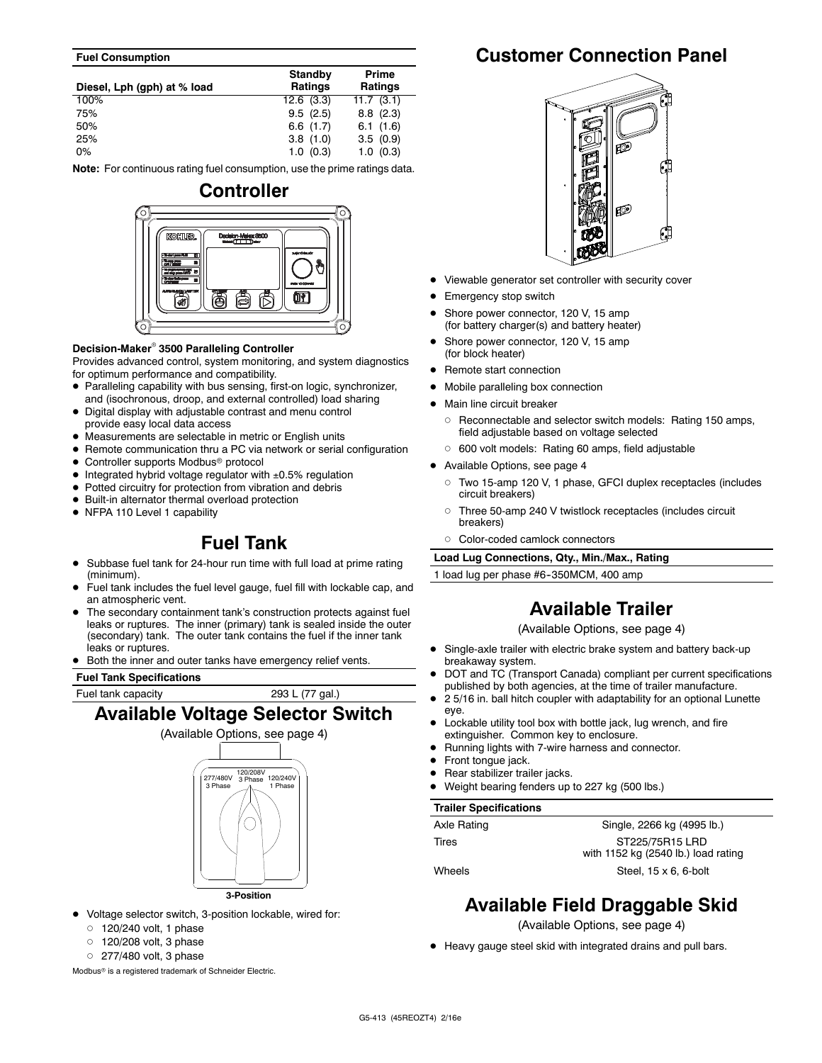#### **Fuel Consumption**

| Diesel, Lph (gph) at % load | Standby<br>Ratings | Prime<br><b>Ratings</b> |
|-----------------------------|--------------------|-------------------------|
| 100%                        | 12.6(3.3)          | 11.7(3.1)               |
| 75%                         | 9.5(2.5)           | $8.8$ $(2.3)$           |
| 50%                         | 6.6(1.7)           | 6.1(1.6)                |
| 25%                         | 3.8(1.0)           | 3.5(0.9)                |
| $0\%$                       | 1.0(0.3)           | 1.0(0.3)                |

**Note:** For continuous rating fuel consumption, use the prime ratings data.

# **Controller KOUTLER OF**

### **Decision-Maker<sup>®</sup> 3500 Paralleling Controller**

Provides advanced control, system monitoring, and system diagnostics for optimum performance and compatibility.

- Paralleling capability with bus sensing, first-on logic, synchronizer, and (isochronous, droop, and external controlled) load sharing
- Digital display with adjustable contrast and menu control provide easy local data access
- Measurements are selectable in metric or English units
- Remote communication thru a PC via network or serial configuration
- Controller supports Modbus<sup>®</sup> protocol
- $\bullet$  Integrated hybrid voltage regulator with  $\pm 0.5\%$  regulation
- $\bullet$  Potted circuitry for protection from vibration and debris
- $\bullet$  Built-in alternator thermal overload protection
- NFPA 110 Level 1 capability

## **Fuel Tank**

- Subbase fuel tank for 24-hour run time with full load at prime rating (minimum).
- Fuel tank includes the fuel level gauge, fuel fill with lockable cap, and an atmospheric vent.
- The secondary containment tank's construction protects against fuel leaks or ruptures. The inner (primary) tank is sealed inside the outer (secondary) tank. The outer tank contains the fuel if the inner tank leaks or ruptures.
- Both the inner and outer tanks have emergency relief vents.

#### **Fuel Tank Specifications**

Fuel tank capacity 293 L (77 gal.)

## **Available Voltage Selector Switch**



- **3-Position**
- $\bullet$  Voltage selector switch, 3-position lockable, wired for:
	- $0$  120/240 volt, 1 phase
	- $0$  120/208 volt, 3 phase
	- $O$  277/480 volt, 3 phase

Modbus<sup>®</sup> is a registered trademark of Schneider Electric.

# **Customer Connection Panel**



- Viewable generator set controller with security cover
- Emergency stop switch
- Shore power connector, 120 V, 15 amp (for battery charger(s) and battery heater)
- Shore power connector, 120 V, 15 amp (for block heater)
- Remote start connection
- Mobile paralleling box connection
- Main line circuit breaker
- o Reconnectable and selector switch models: Rating 150 amps, field adjustable based on voltage selected
- o 600 volt models: Rating 60 amps, field adjustable
- $\bullet$  Available Options, see page 4
	- d Two 15-amp 120 V, 1 phase, GFCI duplex receptacles (includes circuit breakers)
	- o Three 50-amp 240 V twistlock receptacles (includes circuit breakers)
	- o Color-coded camlock connectors

**Load Lug Connections, Qty., Min./Max., Rating**

1 load lug per phase #6-350MCM, 400 amp

# **Available Trailer**

(Available Options, see page 4)

- Single-axle trailer with electric brake system and battery back-up breakaway system.
- DOT and TC (Transport Canada) compliant per current specifications published by both agencies, at the time of trailer manufacture.
- 2 5/16 in. ball hitch coupler with adaptability for an optional Lunette eye.
- Lockable utility tool box with bottle jack, lug wrench, and fire extinguisher. Common key to enclosure.
- Running lights with 7-wire harness and connector.
- Front tongue jack.
- Rear stabilizer trailer jacks.
- Weight bearing fenders up to 227 kg (500 lbs.)

### **Trailer Specifications**

| Axle Rating | Single, 2266 kg (4995 lb.)          |
|-------------|-------------------------------------|
| Tires       | ST225/75R15 LRD                     |
|             | with 1152 kg (2540 lb.) load rating |
| Wheels      | Steel, $15 \times 6$ , 6-bolt       |

## **Available Field Draggable Skid**

(Available Options, see page 4)

• Heavy gauge steel skid with integrated drains and pull bars.